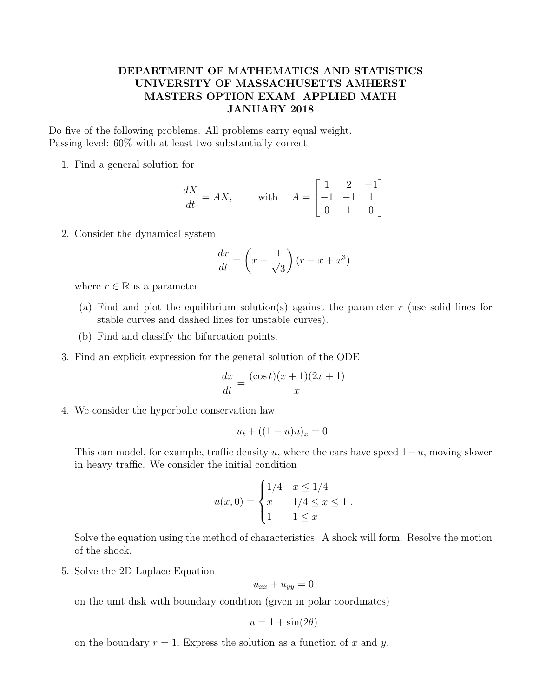## DEPARTMENT OF MATHEMATICS AND STATISTICS UNIVERSITY OF MASSACHUSETTS AMHERST MASTERS OPTION EXAM APPLIED MATH JANUARY 2018

Do five of the following problems. All problems carry equal weight. Passing level: 60% with at least two substantially correct

1. Find a general solution for

$$
\frac{dX}{dt} = AX, \quad \text{with} \quad A = \begin{bmatrix} 1 & 2 & -1 \\ -1 & -1 & 1 \\ 0 & 1 & 0 \end{bmatrix}
$$

2. Consider the dynamical system

$$
\frac{dx}{dt} = \left(x - \frac{1}{\sqrt{3}}\right)(r - x + x^3)
$$

where  $r \in \mathbb{R}$  is a parameter.

- (a) Find and plot the equilibrium solution(s) against the parameter  $r$  (use solid lines for stable curves and dashed lines for unstable curves).
- (b) Find and classify the bifurcation points.
- 3. Find an explicit expression for the general solution of the ODE

$$
\frac{dx}{dt} = \frac{(\cos t)(x+1)(2x+1)}{x}
$$

4. We consider the hyperbolic conservation law

$$
u_t + ((1 - u)u)_x = 0.
$$

This can model, for example, traffic density u, where the cars have speed  $1-u$ , moving slower in heavy traffic. We consider the initial condition

$$
u(x,0) = \begin{cases} 1/4 & x \le 1/4 \\ x & 1/4 \le x \le 1 \\ 1 & 1 \le x \end{cases}
$$

Solve the equation using the method of characteristics. A shock will form. Resolve the motion of the shock.

5. Solve the 2D Laplace Equation

$$
u_{xx} + u_{yy} = 0
$$

on the unit disk with boundary condition (given in polar coordinates)

$$
u = 1 + \sin(2\theta)
$$

on the boundary  $r = 1$ . Express the solution as a function of x and y.